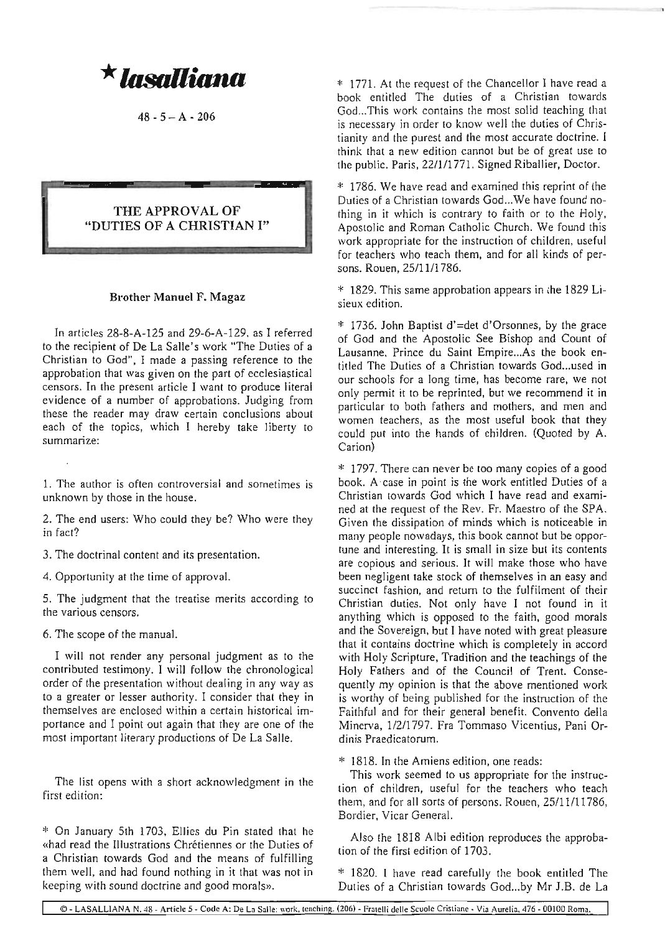*\**1llsa1liann

 $48 - 5 - A - 206$ 

## THE APPROVAL OF "DUTIES OF A CHRISTIAN I"

## Brother Manuel F. Magaz

In articles 28-8-A-I25 and 29-6-A-129, as I referred to the recipient of De La Salle's work "The Duties of a Christian to God", I made a passing reference to the approbation that was given on the part of ecclesiastical censors. In the present article I want to produce literal evidence of a number of approbations. Judging from these the reader may draw certain conclusions about each of the topics, which I hereby take liberty to summarize:

1. The author is often controversial and sometimes is unknown by those in the house.

2. The end users: Who could they be? Who were they in fact?

3. The doctrinal content and its presentation.

4. Opportunity at the time of approval.

5. The judgment that the treatise merits according to the various censors.

6. The scope of the manual.

I will not render any personal judgment as to the contributed testimony. I will follow the chronological order of the presentation without dealing in any way as to a greater or lesser authority. I consider that they in themselves are enclosed within a certain historical importance and I point out again that they are one of the most important literary productions of De La Salle.

The list opens with a short acknowledgment in the first edition:

\* On January 5th 1703, Ellies du Pin stated that he «had read the Illustrations Chrétiennes or the Duties of a Christian towards God and the means of fulfilling them well, and had found nothing in it that was not in keeping with sound doctrine and good morals».

\* 1771. At the request of the Chancellor I have read a book entitled The duties of a Christian towards God...This work contains the most solid teaching that is necessary in order to know well the duties of Christianity and the purest and the most accurate doctrine. I think that a new edition cannot but be of great use to the public. Paris, 22/1/1771. Signed Riballier, Doctor.

\* 1786. We have read and examined this reprint of the Duties of a Christian towards God...We have found nothing in it which is contrary to faith or to the Holy, Apostolic and Roman Catholic Church. We found this work appropriate for the instruction of children, useful for teachers who teach them, and for all kinds of persons. Rouen, 25/1111786.

\* 1829. This same approbation appears in the 1829 Lisieux edition.

\* 1736. John Baptist d'=det d'Orsonnes, by the grace of God and the Apostolic See Bishop and Count of Lausanne, Prince du Saint Empire...As the book entitled The Duties of a Christian towards God...used in our schools for a long time, has become rare, we not only permit it to be reprinted, but we recommend it in particular to both fathers and mothers, and men and women teachers, as the most useful book that they could put into the hands of children. (Quoted by A. Carion)

\* 1797. There can never be too many copies of a good book. A case in point is the work entitled Duties of a Christian towards God which I have read and examined at the request of the Rev. Fr. Maestro of the SPA. Given the dissipation of minds which is noticeable in many people nowadays, this book cannot but be opportune and interesting. It is small in size but its contents are copious and serious. It will make those who have been negligent take stock of themselves in an easy and succinct fashion, and return to the fulfilment of their Christian duties. Not only have I not found in it anything which is opposed to the faith, good morals and the Sovereign, but I have noted with great pleasure that it contains doctrine which is completely in accord with Holy Scripture, Tradition and the teachings of the Holy Fathers and of the Council of Trent. Consequently my opinion is that the above mentioned work is worthy of being published for the instruction of the Faithful and for their general benefit. Convento della Minerva, 1/2/1 797. Fra Tommaso Vicentius, Pani Ordinis Praedicatorum.

\* 1818. In the Amiens edition, one reads:

This work seemed to us appropriate for the instruction of children, useful for the teachers who teach them, and for all sorts of persons. Rouen, 25/11/11786, Bordier, Vicar General.

Also the 1818 Albi edition reproduces the approbation of the first edition of 1703.

\* 1820. I have read carefully the book entitled The Duties of a Christian towards God...by Mr J.B. de La